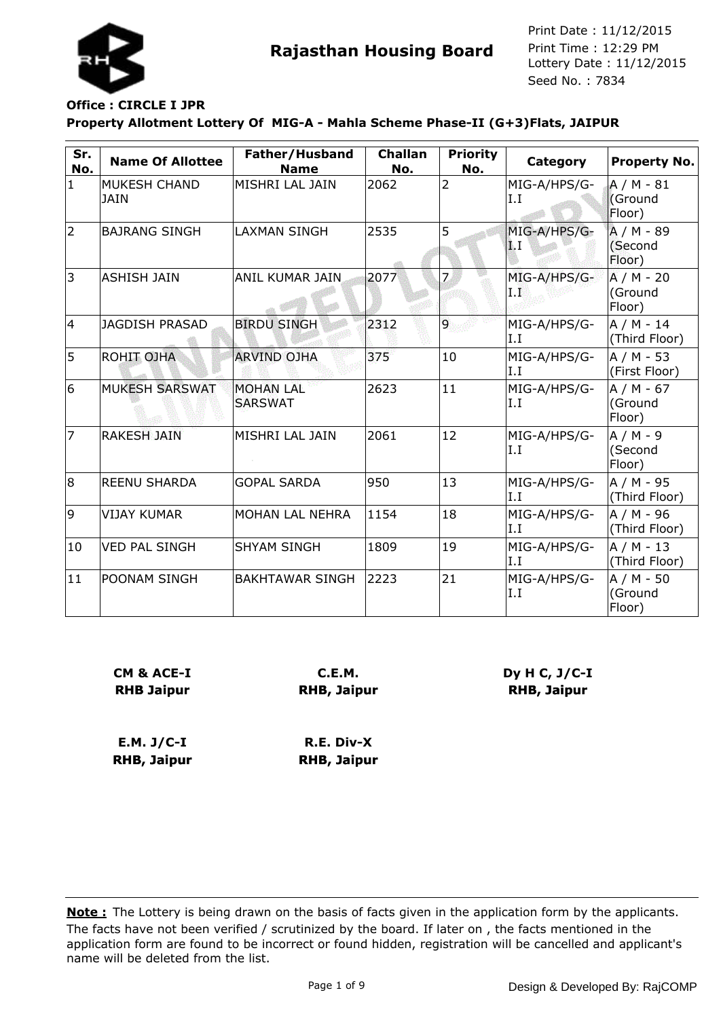

## **Office : CIRCLE I JPR**

**Property Allotment Lottery Of MIG-A - Mahla Scheme Phase-II (G+3)Flats, JAIPUR**

| Sr.<br>No.   | <b>Name Of Allottee</b>            | Father/Husband<br><b>Name</b>      | <b>Challan</b><br>No. | <b>Priority</b><br>No. | Category             | <b>Property No.</b>             |
|--------------|------------------------------------|------------------------------------|-----------------------|------------------------|----------------------|---------------------------------|
| $\mathbf{1}$ | <b>MUKESH CHAND</b><br><b>JAIN</b> | MISHRI LAL JAIN                    | 2062                  | 2                      | MIG-A/HPS/G-<br>I.I  | $A/M - 81$<br>(Ground<br>Floor) |
| 2            | <b>BAJRANG SINGH</b>               | <b>LAXMAN SINGH</b>                | 2535                  | 5                      | MIG-A/HPS/G-<br>1. I | A / M - 89<br>(Second<br>Floor) |
| 3            | <b>ASHISH JAIN</b>                 | <b>ANIL KUMAR JAIN</b>             | 2077                  |                        | MIG-A/HPS/G-<br>ΙŘ   | $A/M - 20$<br>(Ground<br>Floor) |
| 4            | <b>JAGDISH PRASAD</b>              | <b>BIRDU SINGH</b>                 | 2312                  | 9                      | MIG-A/HPS/G-<br>I.I  | A / M - 14<br>(Third Floor)     |
| 5            | <b>ROHIT OJHA</b>                  | <b>ARVIND OJHA</b>                 | 375                   | 10                     | MIG-A/HPS/G-<br>I.I  | A / M - 53<br>(First Floor)     |
| 6            | <b>MUKESH SARSWAT</b>              | <b>MOHAN LAL</b><br><b>SARSWAT</b> | 2623                  | 11                     | MIG-A/HPS/G-<br>I.I  | A / M - 67<br>(Ground<br>Floor) |
| 17           | <b>RAKESH JAIN</b>                 | MISHRI LAL JAIN                    | 2061                  | 12                     | MIG-A/HPS/G-<br>I.I  | $A/M - 9$<br>(Second<br>Floor)  |
| 8            | <b>REENU SHARDA</b>                | <b>GOPAL SARDA</b>                 | 950                   | 13                     | MIG-A/HPS/G-<br>I.I  | A / M - 95<br>(Third Floor)     |
| 9            | <b>VIJAY KUMAR</b>                 | MOHAN LAL NEHRA                    | 1154                  | 18                     | MIG-A/HPS/G-<br>I.I  | A / M - 96<br>(Third Floor)     |
| 10           | <b>VED PAL SINGH</b>               | <b>SHYAM SINGH</b>                 | 1809                  | 19                     | MIG-A/HPS/G-<br>I.I  | A / M - 13<br>(Third Floor)     |
| $ 11\rangle$ | POONAM SINGH                       | <b>BAKHTAWAR SINGH</b>             | 2223                  | 21                     | MIG-A/HPS/G-<br>I.I  | A / M - 50<br>(Ground<br>Floor) |

| CM & ACE-I        |  |
|-------------------|--|
| <b>RHB Jaipur</b> |  |

**C.E.M. RHB, Jaipur** **Dy H C, J/C-I RHB, Jaipur**

**E.M. J/C-I RHB, Jaipur R.E. Div-X RHB, Jaipur**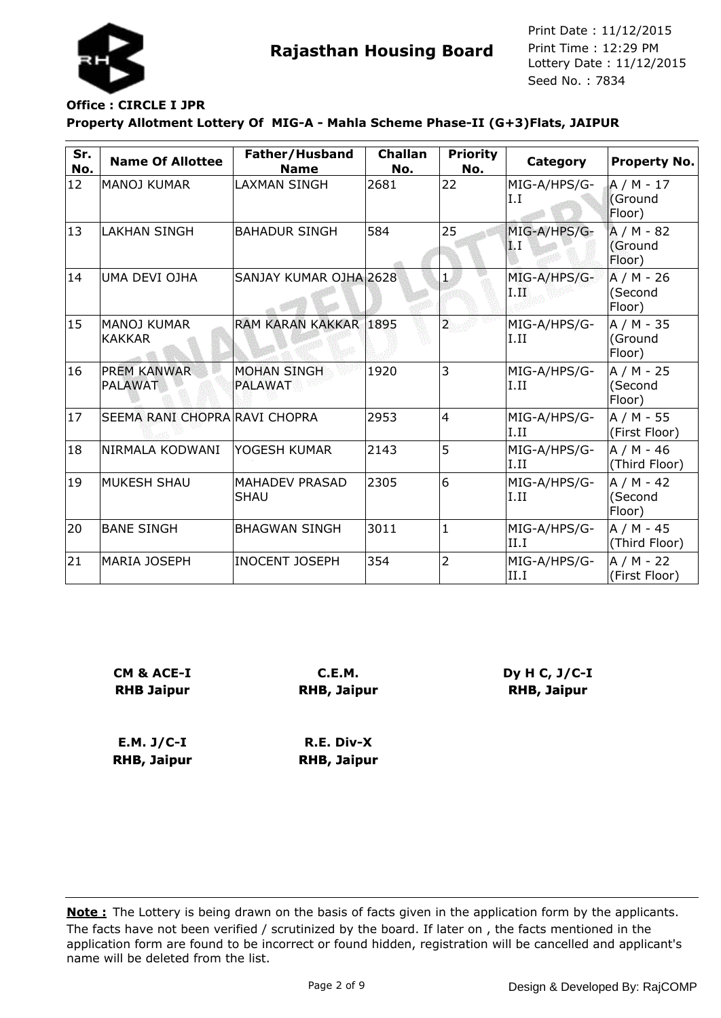

### **Office : CIRCLE I JPR**

**Property Allotment Lottery Of MIG-A - Mahla Scheme Phase-II (G+3)Flats, JAIPUR**

| Sr.<br>No. | <b>Name Of Allottee</b>              | Father/Husband<br><b>Name</b>        | <b>Challan</b><br>No. | <b>Priority</b><br>No.  | Category                | <b>Property No.</b>             |
|------------|--------------------------------------|--------------------------------------|-----------------------|-------------------------|-------------------------|---------------------------------|
| 12         | <b>MANOJ KUMAR</b>                   | <b>LAXMAN SINGH</b>                  | 2681                  | 22                      | MIG-A/HPS/G-<br>I.I     | $A/M - 17$<br>Ground<br>Floor)  |
| 13         | <b>LAKHAN SINGH</b>                  | <b>BAHADUR SINGH</b>                 | 584                   | 25                      | MIG-A/HPS/G-<br>I.I     | $A/M - 82$<br>(Ground<br>Floor) |
| 14         | UMA DEVI OJHA                        | SANJAY KUMAR OJHA 2628               |                       | $\mathbf{1}$            | MIG-A/HPS/G-<br>1. III) | A / M - 26<br>(Second<br>Floor) |
| 15         | MANOJ KUMAR<br><b>KAKKAR</b>         | RAM KARAN KAKKAR                     | 1895                  | $\overline{\mathbf{r}}$ | MIG-A/HPS/G-<br>I.II    | $A/M - 35$<br>(Ground<br>Floor) |
| 16         | <b>PREM KANWAR</b><br><b>PALAWAT</b> | <b>MOHAN SINGH</b><br><b>PALAWAT</b> | 1920                  | 3                       | MIG-A/HPS/G-<br>I.II    | $A/M - 25$<br>(Second<br>Floor) |
| 17         | SEEMA RANI CHOPRA RAVI CHOPRA        |                                      | 2953                  | $\overline{4}$          | MIG-A/HPS/G-<br>I.II    | A / M - 55<br>(First Floor)     |
| 18         | INIRMALA KODWANI                     | YOGESH KUMAR                         | 2143                  | 5                       | MIG-A/HPS/G-<br>II.II   | A / M - 46<br>(Third Floor)     |
| 19         | IMUKESH SHAU                         | <b>MAHADEV PRASAD</b><br><b>SHAU</b> | 2305                  | 6                       | MIG-A/HPS/G-<br>I.II    | $A/M - 42$<br>(Second<br>Floor) |
| 20         | <b>BANE SINGH</b>                    | <b>BHAGWAN SINGH</b>                 | 3011                  | $\mathbf{1}$            | MIG-A/HPS/G-<br>II.I    | $A/M - 45$<br>(Third Floor)     |
| 21         | <b>MARIA JOSEPH</b>                  | <b>INOCENT JOSEPH</b>                | 354                   | $\overline{2}$          | MIG-A/HPS/G-<br>II.I    | A / M - 22<br>(First Floor)     |

| <b>CM &amp; ACE-I</b> | <b>C.E.M.</b>      |
|-----------------------|--------------------|
| <b>RHB Jaipur</b>     | <b>RHB, Jaipur</b> |
|                       |                    |

**E.M. J/C-I RHB, Jaipur R.E. Div-X RHB, Jaipur** **Dy H C, J/C-I RHB, Jaipur**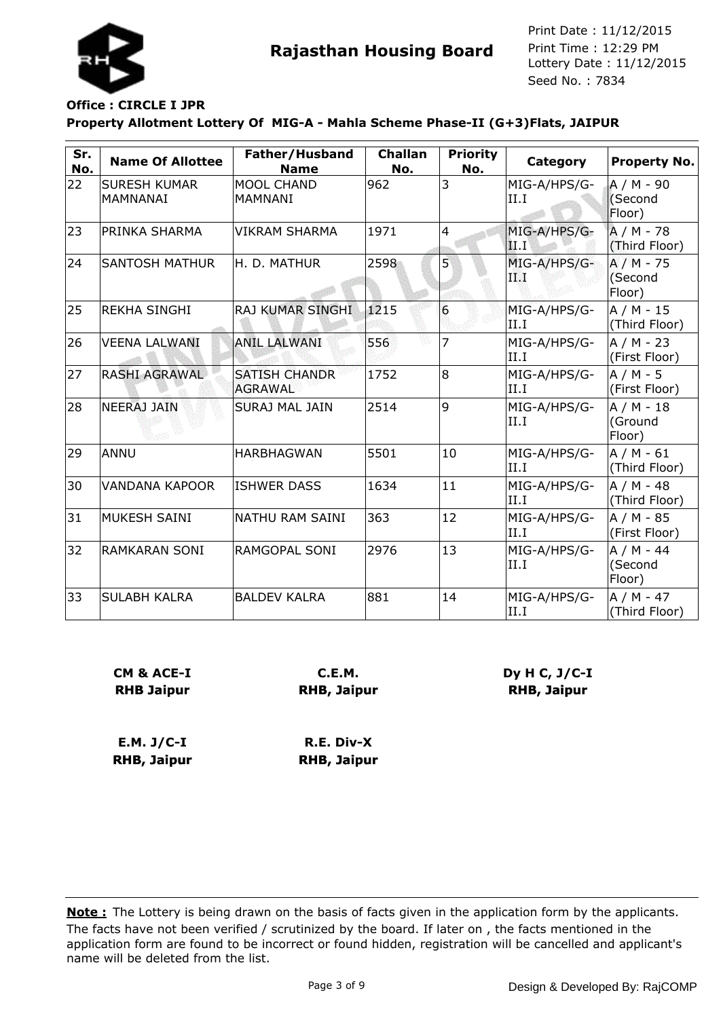

# **Office : CIRCLE I JPR**

**Property Allotment Lottery Of MIG-A - Mahla Scheme Phase-II (G+3)Flats, JAIPUR**

| Sr.<br>No. | <b>Name Of Allottee</b>         | Father/Husband<br><b>Name</b>          | <b>Challan</b><br>No. | <b>Priority</b><br>No. | Category             | <b>Property No.</b>             |
|------------|---------------------------------|----------------------------------------|-----------------------|------------------------|----------------------|---------------------------------|
| 22         | <b>SURESH KUMAR</b><br>MAMNANAI | <b>MOOL CHAND</b><br><b>MAMNANI</b>    | 962                   | 3                      | MIG-A/HPS/G-<br>II.I | $A/M - 90$<br>(Second<br>Floor) |
| 23         | PRINKA SHARMA                   | <b>VIKRAM SHARMA</b>                   | 1971                  | $\overline{4}$         | MIG-A/HPS/G-<br>II Г | A / M - 78<br>(Third Floor)     |
| 24         | <b>SANTOSH MATHUR</b>           | H. D. MATHUR                           | 2598                  | 5                      | MIG-A/HPS/G-<br>ПØ   | $A/M - 75$<br>(Second<br>Floor) |
| 25         | <b>REKHA SINGHI</b>             | RAJ KUMAR SINGHI                       | 1215                  | 6                      | MIG-A/HPS/G-<br>II.I | $A/M - 15$<br>(Third Floor)     |
| 26         | <b>VEENA LALWANI</b>            | <b>ANIL LALWANI</b>                    | 556                   | 7                      | MIG-A/HPS/G-<br>II.I | $A/M - 23$<br>(First Floor)     |
| 27         | <b>RASHI AGRAWAL</b>            | <b>SATISH CHANDR</b><br><b>AGRAWAL</b> | 1752                  | 8                      | MIG-A/HPS/G-<br>II.I | $A/M - 5$<br>(First Floor)      |
| 28         | NEERAJ JAIN                     | <b>SURAJ MAL JAIN</b>                  | 2514                  | 9                      | MIG-A/HPS/G-<br>II.I | $A/M - 18$<br>(Ground<br>Floor) |
| 29         | ANNU                            | <b>HARBHAGWAN</b>                      | 5501                  | 10                     | MIG-A/HPS/G-<br>II.I | $A/M - 61$<br>(Third Floor)     |
| 30         | <b>VANDANA KAPOOR</b>           | <b>ISHWER DASS</b>                     | 1634                  | 11                     | MIG-A/HPS/G-<br>II.I | A / M - 48<br>(Third Floor)     |
| 31         | MUKESH SAINI                    | NATHU RAM SAINI                        | 363                   | 12                     | MIG-A/HPS/G-<br>II.I | A / M - 85<br>(First Floor)     |
| 32         | RAMKARAN SONI                   | RAMGOPAL SONI                          | 2976                  | 13                     | MIG-A/HPS/G-<br>II.I | $A/M - 44$<br>(Second<br>Floor) |
| 33         | <b>SULABH KALRA</b>             | <b>BALDEV KALRA</b>                    | 881                   | 14                     | MIG-A/HPS/G-<br>II.I | $A/M - 47$<br>(Third Floor)     |

| <b>CM &amp; ACE-I</b> | C.E.M.             |  |  |  |
|-----------------------|--------------------|--|--|--|
| <b>RHB Jaipur</b>     | <b>RHB, Jaipur</b> |  |  |  |
| E.M. J/C-I            | R.E. Div-X         |  |  |  |
| RHB, Jaipur           | <b>RHB, Jaipur</b> |  |  |  |

**Dy H C, J/C-I RHB, Jaipur**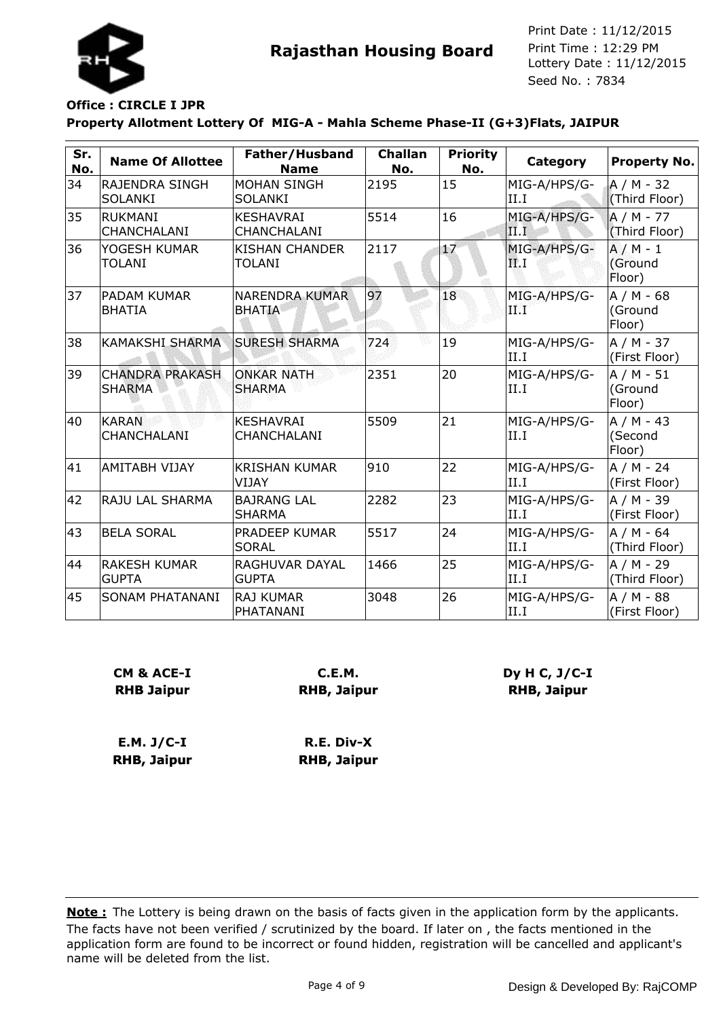

#### **Office : CIRCLE I JPR**

**Property Allotment Lottery Of MIG-A - Mahla Scheme Phase-II (G+3)Flats, JAIPUR**

| Sr.<br>No. | <b>Name Of Allottee</b>                 | Father/Husband<br><b>Name</b>          | <b>Challan</b><br>No. | <b>Priority</b><br>No. | Category              | <b>Property No.</b>             |
|------------|-----------------------------------------|----------------------------------------|-----------------------|------------------------|-----------------------|---------------------------------|
| 34         | RAJENDRA SINGH<br><b>SOLANKI</b>        | <b>MOHAN SINGH</b><br><b>SOLANKI</b>   | 2195                  | 15                     | MIG-A/HPS/G-<br>II.I  | $A/M - 32$<br>(Third Floor)     |
| 35         | <b>RUKMANI</b><br>CHANCHALANI           | <b>KESHAVRAI</b><br>CHANCHALANI        | 5514                  | 16                     | MIG-A/HPS/G-<br>II.I  | $A/M - 77$<br>(Third Floor)     |
| 36         | YOGESH KUMAR<br><b>TOLANI</b>           | <b>KISHAN CHANDER</b><br><b>TOLANI</b> | 2117                  | 17                     | MIG-A/HPS/G-<br>ЩI.   | $A/M - 1$<br>(Ground<br>Floor)  |
| 37         | IPADAM KUMAR<br>BHATIA                  | <b>NARENDRA KUMAR</b><br><b>BHATIA</b> | 97                    | 18                     | MIG-A/HPS/G-<br>9.F T | $A/M - 68$<br>(Ground<br>Floor) |
| 38         | <b>KAMAKSHI SHARMA</b>                  | <b>SURESH SHARMA</b>                   | 724                   | 19                     | MIG-A/HPS/G-<br>II.I  | $A/M - 37$<br>(First Floor)     |
| 39         | <b>CHANDRA PRAKASH</b><br><b>SHARMA</b> | <b>ONKAR NATH</b><br><b>SHARMA</b>     | 2351                  | 20                     | MIG-A/HPS/G-<br>II.I  | $A/M - 51$<br>(Ground<br>Floor) |
| 40         | <b>KARAN</b><br><b>CHANCHALANI</b>      | <b>KESHAVRAI</b><br>CHANCHALANI        | 5509                  | 21                     | MIG-A/HPS/G-<br>II.I  | $A/M - 43$<br>(Second<br>Floor) |
| 41         | <b>AMITABH VIJAY</b>                    | <b>KRISHAN KUMAR</b><br>VIJAY          | 910                   | 22                     | MIG-A/HPS/G-<br>II.I  | A / M - 24<br>(First Floor)     |
| 42         | RAJU LAL SHARMA                         | <b>BAJRANG LAL</b><br><b>SHARMA</b>    | 2282                  | 23                     | MIG-A/HPS/G-<br>II.I  | A / M - 39<br>(First Floor)     |
| 43         | <b>BELA SORAL</b>                       | PRADEEP KUMAR<br><b>SORAL</b>          | 5517                  | 24                     | MIG-A/HPS/G-<br>II.I  | A / M - 64<br>(Third Floor)     |
| 44         | <b>RAKESH KUMAR</b><br><b>GUPTA</b>     | RAGHUVAR DAYAL<br><b>GUPTA</b>         | 1466                  | 25                     | MIG-A/HPS/G-<br>II.I  | $A/M - 29$<br>(Third Floor)     |
| 45         | SONAM PHATANANI                         | <b>RAJ KUMAR</b><br>PHATANANI          | 3048                  | 26                     | MIG-A/HPS/G-<br>II.I  | A / M - 88<br>(First Floor)     |

| CM & ACE-I        | C.E.M.             |
|-------------------|--------------------|
| <b>RHB Jaipur</b> | <b>RHB, Jaipur</b> |
|                   |                    |

**E.M. J/C-I RHB, Jaipur R.E. Div-X RHB, Jaipur** **Dy H C, J/C-I RHB, Jaipur**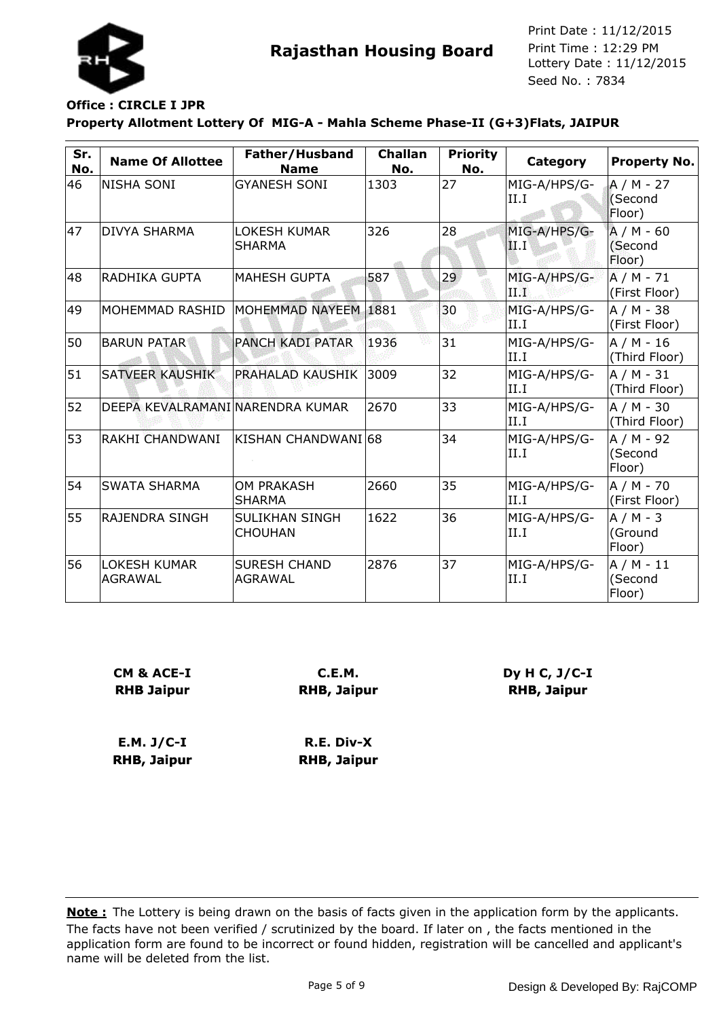

## **Office : CIRCLE I JPR**

**Property Allotment Lottery Of MIG-A - Mahla Scheme Phase-II (G+3)Flats, JAIPUR**

| Sr.<br>No. | <b>Name Of Allottee</b>               | Father/Husband<br><b>Name</b>         | <b>Challan</b><br>No. | <b>Priority</b><br>No. | Category               | <b>Property No.</b>             |
|------------|---------------------------------------|---------------------------------------|-----------------------|------------------------|------------------------|---------------------------------|
| 46         | <b>NISHA SONI</b>                     | <b>GYANESH SONI</b>                   | 1303                  | 27                     | MIG-A/HPS/G-<br>II.I   | $A/M - 27$<br>(Second<br>Floor) |
| 47         | <b>DIVYA SHARMA</b>                   | <b>LOKESH KUMAR</b><br><b>SHARMA</b>  | 326                   | 28                     | MIG-A/HPS/G-<br> II.I' | $A/M - 60$<br>(Second<br>Floor) |
| 48         | lradhika Gupta                        | <b>MAHESH GUPTA</b>                   | 587                   | 29                     | MIG-A/HPS/G-<br>$\Pi$  | $A/M - 71$<br>(First Floor)     |
| 49         | MOHEMMAD RASHID                       | MOHEMMAD NAYEEM 1881                  |                       | 30                     | MIG-A/HPS/G-<br>II.I   | A / M - 38<br>(First Floor)     |
| 50         | <b>BARUN PATAR</b>                    | <b>PANCH KADI PATAR</b>               | 1936                  | 31                     | MIG-A/HPS/G-<br>II.I   | A / M - 16<br>(Third Floor)     |
| 51         | SATVEER KAUSHIK                       | <b>PRAHALAD KAUSHIK</b>               | 3009                  | 32                     | MIG-A/HPS/G-<br>II.I   | $A/M - 31$<br>(Third Floor)     |
| 52         | DEEPA KEVALRAMANI NARENDRA KUMAR      |                                       | 2670                  | 33                     | MIG-A/HPS/G-<br>II.I   | A / M - 30<br>(Third Floor)     |
| 53         | RAKHI CHANDWANI                       | KISHAN CHANDWANI 68                   |                       | 34                     | MIG-A/HPS/G-<br>II.I   | $A/M - 92$<br>(Second<br>Floor) |
| 54         | <b>SWATA SHARMA</b>                   | <b>OM PRAKASH</b><br><b>SHARMA</b>    | 2660                  | 35                     | MIG-A/HPS/G-<br>II.I   | A / M - 70<br>(First Floor)     |
| 55         | <b>RAJENDRA SINGH</b>                 | SULIKHAN SINGH<br><b>CHOUHAN</b>      | 1622                  | 36                     | MIG-A/HPS/G-<br>II.I   | $A/M - 3$<br>(Ground<br>Floor)  |
| 56         | <b>LOKESH KUMAR</b><br><b>AGRAWAL</b> | <b>SURESH CHAND</b><br><b>AGRAWAL</b> | 2876                  | 37                     | MIG-A/HPS/G-<br>II.I   | A / M - 11<br>(Second<br>Floor) |

| CM & ACE-I        | C.E.M.             |
|-------------------|--------------------|
| <b>RHB Jaipur</b> | <b>RHB, Jaipur</b> |
|                   |                    |
|                   |                    |
|                   |                    |

| $E.M. J/C-I$ | R.E. Div-X         |
|--------------|--------------------|
| RHB, Jaipur  | <b>RHB, Jaipur</b> |

**Dy H C, J/C-I RHB, Jaipur**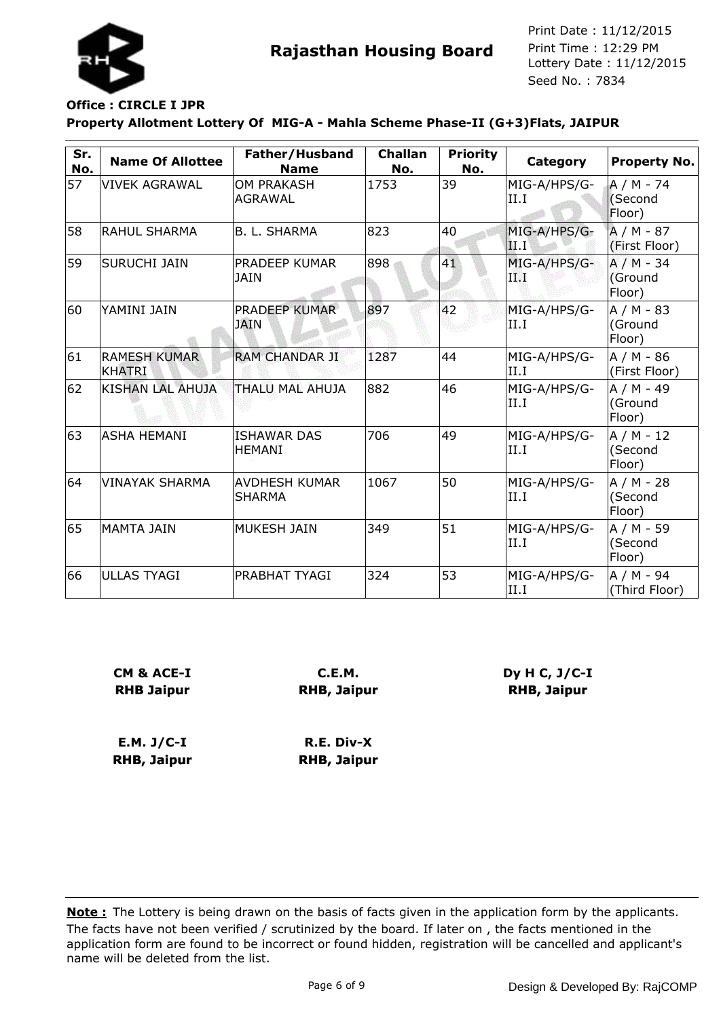

## **Office : CIRCLE I JPR**

**Property Allotment Lottery Of MIG-A - Mahla Scheme Phase-II (G+3)Flats, JAIPUR**

| Sr.<br>No. | <b>Name Of Allottee</b>              | Father/Husband<br><b>Name</b>         | <b>Challan</b><br>No. | <b>Priority</b><br>No. | <b>Category</b>      | <b>Property No.</b>             |
|------------|--------------------------------------|---------------------------------------|-----------------------|------------------------|----------------------|---------------------------------|
| 57         | <b>VIVEK AGRAWAL</b>                 | <b>OM PRAKASH</b><br><b>AGRAWAL</b>   | 1753                  | 39                     | MIG-A/HPS/G-<br>II.I | A / M - 74<br>(Second<br>Floor) |
| 58         | <b>RAHUL SHARMA</b>                  | <b>B. L. SHARMA</b>                   | 823                   | 40                     | MIG-A/HPS/G-<br>ШT   | $A/M - 87$<br>(First Floor)     |
| 59         | <b>SURUCHI JAIN</b>                  | PRADEEP KUMAR<br><b>JAIN</b>          | 898                   | 41                     | MIG-A/HPS/G-<br>TW   | $A/M - 34$<br>(Ground<br>Floor) |
| 60         | YAMINI JAIN                          | <b>PRADEEP KUMAR</b><br><b>JAIN</b>   | 897                   | 42                     | MIG-A/HPS/G-<br>II.I | $A/M - 83$<br>(Ground<br>Floor) |
| 61         | <b>RAMESH KUMAR</b><br><b>KHATRI</b> | <b>RAM CHANDAR JI</b>                 | 1287                  | 44                     | MIG-A/HPS/G-<br>II.I | A / M - 86<br>(First Floor)     |
| 62         | <b>KISHAN LAL AHUJA</b>              | THALU MAL AHUJA                       | 882                   | 46                     | MIG-A/HPS/G-<br>II.I | A / M - 49<br>(Ground<br>Floor) |
| 63         | <b>ASHA HEMANI</b>                   | <b>ISHAWAR DAS</b><br><b>HEMANI</b>   | 706                   | 49                     | MIG-A/HPS/G-<br>II.I | $A/M - 12$<br>(Second<br>Floor) |
| 64         | <b>VINAYAK SHARMA</b>                | <b>AVDHESH KUMAR</b><br><b>SHARMA</b> | 1067                  | 50                     | MIG-A/HPS/G-<br>II.I | $A/M - 28$<br>(Second<br>Floor) |
| 65         | MAMTA JAIN                           | <b>MUKESH JAIN</b>                    | 349                   | 51                     | MIG-A/HPS/G-<br>II.I | $A/M - 59$<br>(Second<br>Floor) |
| 66         | <b>ULLAS TYAGI</b>                   | PRABHAT TYAGI                         | 324                   | 53                     | MIG-A/HPS/G-<br>II.I | $A/M - 94$<br>(Third Floor)     |

| CM & ACE-I        | C.E.M.             |
|-------------------|--------------------|
| <b>RHB Jaipur</b> | <b>RHB, Jaipur</b> |
|                   |                    |

**E.M. J/C-I RHB, Jaipur R.E. Div-X RHB, Jaipur** **Dy H C, J/C-I RHB, Jaipur**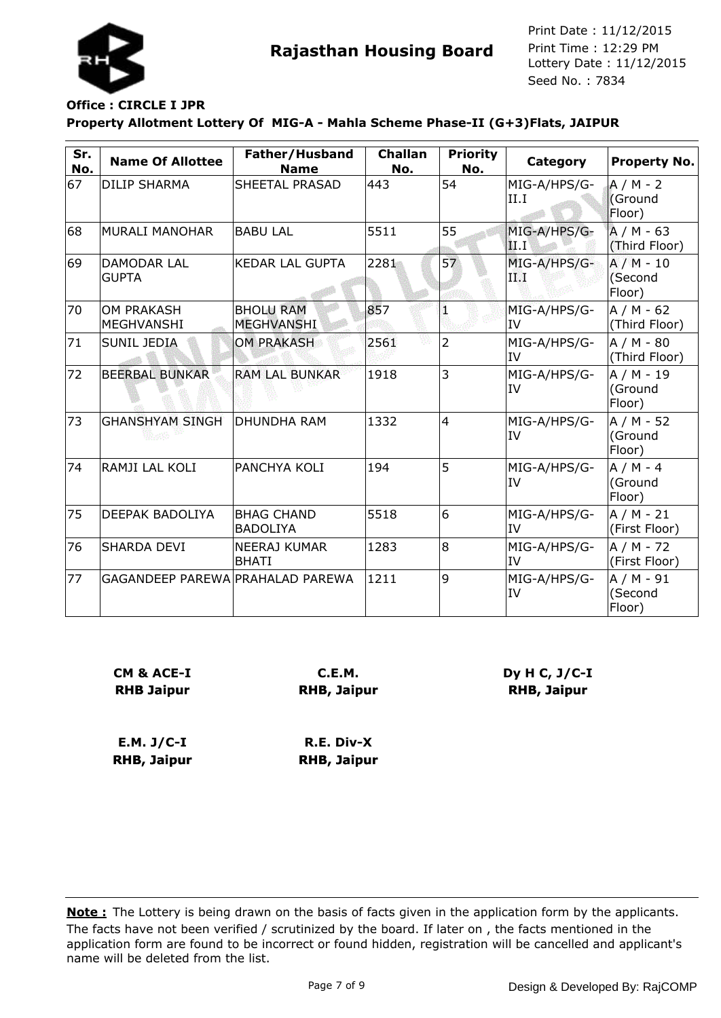

# **Office : CIRCLE I JPR**

**Property Allotment Lottery Of MIG-A - Mahla Scheme Phase-II (G+3)Flats, JAIPUR**

| Sr.<br>No. | <b>Name Of Allottee</b>            | Father/Husband<br><b>Name</b>         | <b>Challan</b><br>No. | <b>Priority</b><br>No. | Category                  | <b>Property No.</b>             |
|------------|------------------------------------|---------------------------------------|-----------------------|------------------------|---------------------------|---------------------------------|
| 67         | <b>DILIP SHARMA</b>                | <b>SHEETAL PRASAD</b>                 | 443                   | 54                     | MIG-A/HPS/G-<br>II.I      | $A/M - 2$<br>Ground<br>Floor)   |
| 68         | <b>MURALI MANOHAR</b>              | <b>BABU LAL</b>                       | 5511                  | 55                     | MIG-A/HPS/G-<br> II.I'    | $A/M - 63$<br>(Third Floor)     |
| 69         | <b>DAMODAR LAL</b><br><b>GUPTA</b> | <b>KEDAR LAL GUPTA</b>                | 2281                  | 57                     | MIG-A/HPS/G-<br>ТW        | $A/M - 10$<br>(Second<br>Floor) |
| 70         | <b>OM PRAKASH</b><br>MEGHVANSHI    | <b>BHOLU RAM</b><br><b>MEGHVANSHI</b> | 857                   | ß.                     | MIG-A/HPS/G-<br><b>IV</b> | $A/M - 62$<br>(Third Floor)     |
| 71         | <b>SUNIL JEDIA</b>                 | <b>OM PRAKASH</b>                     | 2561                  | $\overline{2}$         | MIG-A/HPS/G-<br><b>IV</b> | $A/M - 80$<br>(Third Floor)     |
| 72         | <b>BEERBAL BUNKAR</b>              | <b>RAM LAL BUNKAR</b>                 | 1918                  | 3                      | MIG-A/HPS/G-<br><b>IV</b> | $A/M - 19$<br>(Ground<br>Floor) |
| 73         | <b>GHANSHYAM SINGH</b>             | <b>DHUNDHA RAM</b>                    | 1332                  | $\overline{4}$         | MIG-A/HPS/G-<br>IV        | A / M - 52<br>(Ground<br>Floor) |
| 74         | RAMJI LAL KOLI                     | <b>PANCHYA KOLI</b>                   | 194                   | 5                      | MIG-A/HPS/G-<br>IV        | $A/M - 4$<br>(Ground<br>Floor)  |
| 75         | DEEPAK BADOLIYA                    | <b>BHAG CHAND</b><br><b>BADOLIYA</b>  | 5518                  | 6                      | MIG-A/HPS/G-<br><b>IV</b> | A / M - 21<br>(First Floor)     |
| 76         | SHARDA DEVI                        | NEERAJ KUMAR<br><b>BHATI</b>          | 1283                  | 8                      | MIG-A/HPS/G-<br><b>IV</b> | A / M - 72<br>(First Floor)     |
| 77         | GAGANDEEP PAREWA PRAHALAD PAREWA   |                                       | 1211                  | 9                      | MIG-A/HPS/G-<br><b>IV</b> | A / M - 91<br>(Second<br>Floor) |

| C.E.M.             |
|--------------------|
| <b>RHB, Jaipur</b> |
|                    |

**E.M. J/C-I RHB, Jaipur R.E. Div-X RHB, Jaipur** **Dy H C, J/C-I RHB, Jaipur**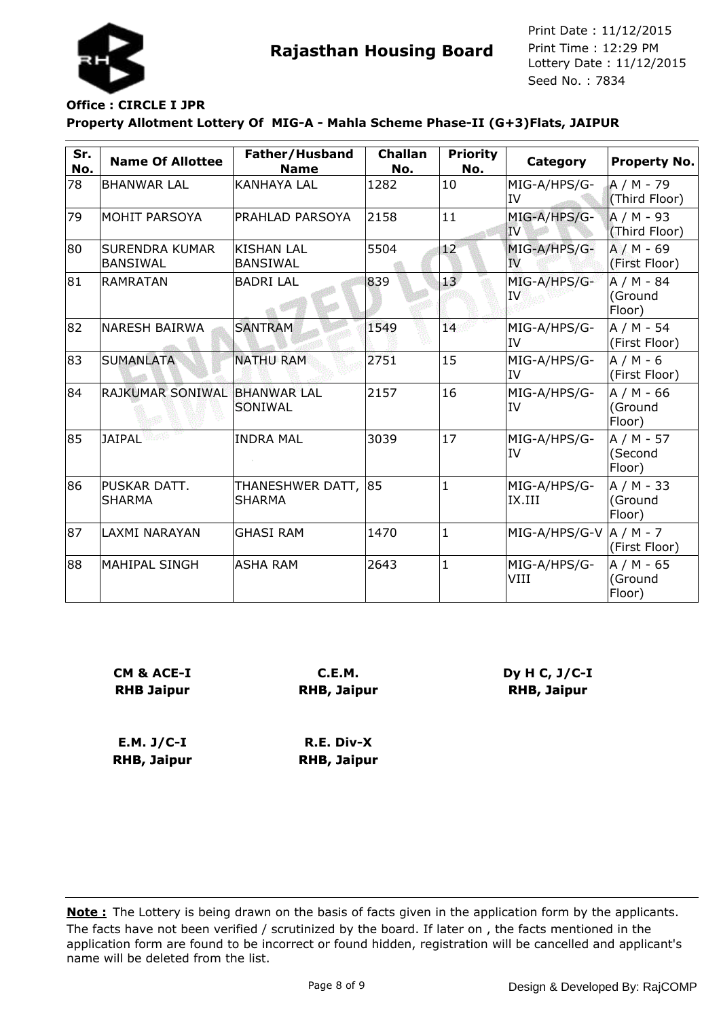

#### **Office : CIRCLE I JPR**

**Property Allotment Lottery Of MIG-A - Mahla Scheme Phase-II (G+3)Flats, JAIPUR**

| Sr.<br>No. | <b>Name Of Allottee</b>                  | Father/Husband<br><b>Name</b>        | <b>Challan</b><br>No. | <b>Priority</b><br>No. | <b>Category</b>                 | <b>Property No.</b>             |
|------------|------------------------------------------|--------------------------------------|-----------------------|------------------------|---------------------------------|---------------------------------|
| 78         | <b>BHANWAR LAL</b>                       | <b>KANHAYA LAL</b>                   | 1282                  | 10                     | MIG-A/HPS/G-<br>IV              | A / M - 79<br>(Third Floor)     |
| 79         | MOHIT PARSOYA                            | <b>PRAHLAD PARSOYA</b>               | 2158                  | 11                     | MIG-A/HPS/G-<br>IV              | $A/M - 93$<br>(Third Floor)     |
| 80         | <b>SURENDRA KUMAR</b><br><b>BANSIWAL</b> | <b>KISHAN LAL</b><br><b>BANSIWAL</b> | 5504                  | $12^{\circ}$           | MIG-A/HPS/G-<br><b>IV</b>       | $A/M - 69$<br>(First Floor)     |
| 81         | RAMRATAN                                 | <b>BADRI LAL</b>                     | 839                   | 13 <sup>7</sup>        | MIG-A/HPS/G-<br>IV.             | $A/M - 84$<br>(Ground<br>Floor) |
| 82         | <b>NARESH BAIRWA</b>                     | <b>SANTRAM</b>                       | 1549                  | 14                     | MIG-A/HPS/G-<br>IV              | A / M - 54<br>(First Floor)     |
| 83         | <b>SUMANLATA</b>                         | <b>NATHU RAM</b>                     | 2751                  | 15                     | MIG-A/HPS/G-<br>IV              | A / M - 6<br>(First Floor)      |
| 84         | <b>RAJKUMAR SONIWAL</b>                  | <b>BHANWAR LAL</b><br><b>SONIWAL</b> | 2157                  | 16                     | MIG-A/HPS/G-<br>IV              | A / M - 66<br>(Ground<br>Floor) |
| 85         | <b>JAIPAL</b>                            | <b>INDRA MAL</b>                     | 3039                  | 17                     | MIG-A/HPS/G-<br>IV              | $A/M - 57$<br>(Second<br>Floor) |
| 86         | PUSKAR DATT.<br>SHARMA                   | THANESHWER DATT, 85<br>SHARMA        |                       | $\mathbf{1}$           | MIG-A/HPS/G-<br>IX.III          | A / M - 33<br>(Ground<br>Floor) |
| 87         | <b>LAXMI NARAYAN</b>                     | <b>GHASI RAM</b>                     | 1470                  | $\mathbf{1}$           | MIG-A/HPS/G-V $\vert$ A / M - 7 | (First Floor)                   |
| 88         | MAHIPAL SINGH                            | <b>ASHA RAM</b>                      | 2643                  | $\mathbf{1}$           | MIG-A/HPS/G-<br>VIII            | A / M - 65<br>(Ground<br>Floor) |

| CM & ACE-I        | C.E.M.             |  |  |
|-------------------|--------------------|--|--|
| <b>RHB Jaipur</b> | <b>RHB, Jaipur</b> |  |  |
|                   |                    |  |  |
|                   |                    |  |  |
| E.M. J/C-I        | $R.E. Div-X$       |  |  |

**E.M. J/C-I RHB, Jaipur R.E. Div-X RHB, Jaipur**

The facts have not been verified / scrutinized by the board. If later on , the facts mentioned in the application form are found to be incorrect or found hidden, registration will be cancelled and applicant's name will be deleted from the list. **Note :** The Lottery is being drawn on the basis of facts given in the application form by the applicants.

**Dy H C, J/C-I RHB, Jaipur**